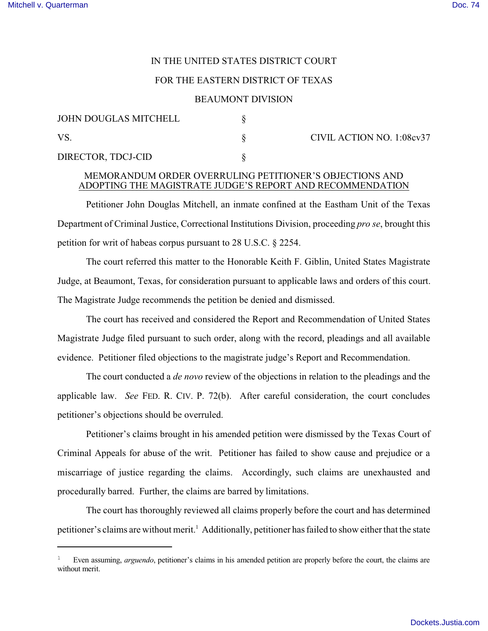# IN THE UNITED STATES DISTRICT COURT

### FOR THE EASTERN DISTRICT OF TEXAS

#### BEAUMONT DIVISION

| JOHN DOUGLAS MITCHELL |  | CIVIL ACTION NO. 1:08cv37 |
|-----------------------|--|---------------------------|
| VS                    |  |                           |
| DIRECTOR, TDCJ-CID    |  |                           |

## MEMORANDUM ORDER OVERRULING PETITIONER'S OBJECTIONS AND ADOPTING THE MAGISTRATE JUDGE'S REPORT AND RECOMMENDATION

Petitioner John Douglas Mitchell, an inmate confined at the Eastham Unit of the Texas Department of Criminal Justice, Correctional Institutions Division, proceeding *pro se*, brought this petition for writ of habeas corpus pursuant to 28 U.S.C. § 2254.

The court referred this matter to the Honorable Keith F. Giblin, United States Magistrate Judge, at Beaumont, Texas, for consideration pursuant to applicable laws and orders of this court. The Magistrate Judge recommends the petition be denied and dismissed.

The court has received and considered the Report and Recommendation of United States Magistrate Judge filed pursuant to such order, along with the record, pleadings and all available evidence. Petitioner filed objections to the magistrate judge's Report and Recommendation.

The court conducted a *de novo* review of the objections in relation to the pleadings and the applicable law. *See* FED. R. CIV. P. 72(b). After careful consideration, the court concludes petitioner's objections should be overruled.

Petitioner's claims brought in his amended petition were dismissed by the Texas Court of Criminal Appeals for abuse of the writ. Petitioner has failed to show cause and prejudice or a miscarriage of justice regarding the claims. Accordingly, such claims are unexhausted and procedurally barred. Further, the claims are barred by limitations.

The court has thoroughly reviewed all claims properly before the court and has determined petitioner's claims are without merit.<sup>1</sup> Additionally, petitioner has failed to show either that the state

<sup>1</sup> Even assuming, *arguendo*, petitioner's claims in his amended petition are properly before the court, the claims are without merit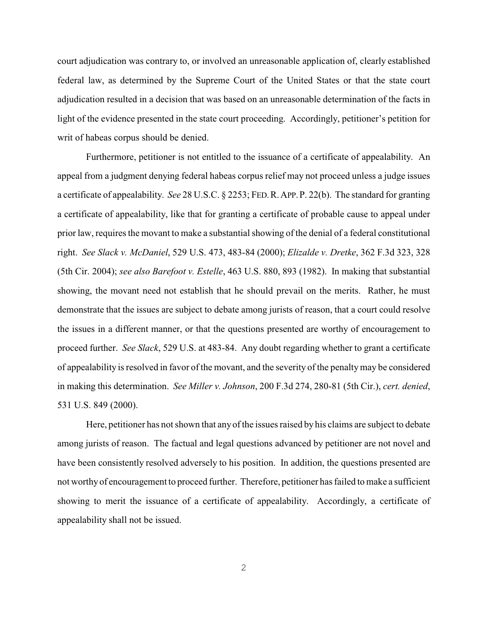court adjudication was contrary to, or involved an unreasonable application of, clearly established federal law, as determined by the Supreme Court of the United States or that the state court adjudication resulted in a decision that was based on an unreasonable determination of the facts in light of the evidence presented in the state court proceeding. Accordingly, petitioner's petition for writ of habeas corpus should be denied.

Furthermore, petitioner is not entitled to the issuance of a certificate of appealability. An appeal from a judgment denying federal habeas corpus relief may not proceed unless a judge issues a certificate of appealability. *See* 28 U.S.C. § 2253; FED.R.APP.P. 22(b). The standard for granting a certificate of appealability, like that for granting a certificate of probable cause to appeal under prior law, requires the movant to make a substantial showing of the denial of a federal constitutional right. *See Slack v. McDaniel*, 529 U.S. 473, 483-84 (2000); *Elizalde v. Dretke*, 362 F.3d 323, 328 (5th Cir. 2004); *see also Barefoot v. Estelle*, 463 U.S. 880, 893 (1982). In making that substantial showing, the movant need not establish that he should prevail on the merits. Rather, he must demonstrate that the issues are subject to debate among jurists of reason, that a court could resolve the issues in a different manner, or that the questions presented are worthy of encouragement to proceed further. *See Slack*, 529 U.S. at 483-84. Any doubt regarding whether to grant a certificate of appealability is resolved in favor of the movant, and the severity of the penalty may be considered in making this determination. *See Miller v. Johnson*, 200 F.3d 274, 280-81 (5th Cir.), *cert. denied*, 531 U.S. 849 (2000).

Here, petitioner has not shown that anyof the issues raised by his claims are subject to debate among jurists of reason. The factual and legal questions advanced by petitioner are not novel and have been consistently resolved adversely to his position. In addition, the questions presented are not worthy of encouragement to proceed further. Therefore, petitioner has failed to make a sufficient showing to merit the issuance of a certificate of appealability. Accordingly, a certificate of appealability shall not be issued.